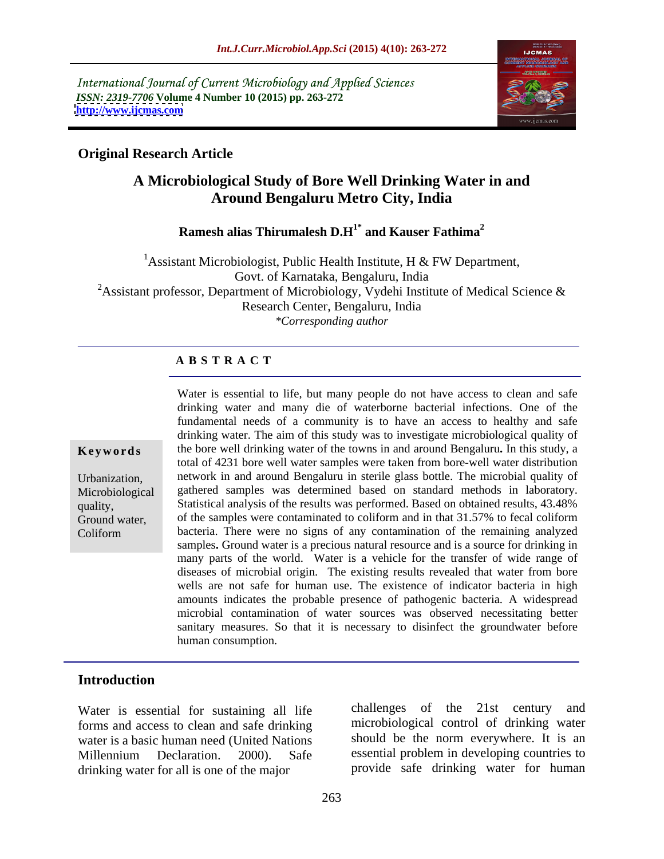International Journal of Current Microbiology and Applied Sciences *ISSN: 2319-7706* Volume 4 Number 10 (2015) pp. 263-272<br>http://www.ijcmas.com **<http://www.ijcmas.com>**



## **Original Research Article**

# **A Microbiological Study of Bore Well Drinking Water in and Around Bengaluru Metro City, India**

**Ramesh alias Thirumalesh D.H 1\* and Kauser Fathima<sup>2</sup>**

<sup>1</sup> Assistant Microbiologist, Public Health Institute, H & FW Department, Govt. of Karnataka, Bengaluru, India <sup>2</sup>Assistant professor, Department of Microbiology, Vydehi Institute of Medical Science  $\&$ Research Center, Bengaluru, India *\*Corresponding author*

### **A B S T R A C T**

Coliform

Water is essential to life, but many people do not have access to clean and safe drinking water and many die of waterborne bacterial infections. One of the fundamental needs of a community is to have an access to healthy and safe drinking water. The aim of this study was to investigate microbiological quality of **Keywords** the bore well drinking water of the towns in and around Bengaluru. In this study, a total of 4231 bore well water samples were taken from bore-well water distribution network in and around Bengaluru in sterile glass bottle. The microbial quality of Urbanization, Microbiological gathered samples was determined based on standard methods in laboratory. Statistical analysis of the results was performed. Based on obtained results, 43.48% quality, Ground water, of the samples were contaminated to coliform and in that 31.57% to fecal coliform bacteria. There were no signs of any contamination of the remaining analyzed samples**.** Ground water is a precious natural resource and is a source for drinking in many parts of the world. Water is a vehicle for the transfer of wide range of diseases of microbial origin. The existing results revealed that water from bore wells are not safe for human use. The existence of indicator bacteria in high amounts indicates the probable presence of pathogenic bacteria. A widespread microbial contamination of water sources was observed necessitating better sanitary measures. So that it is necessary to disinfect the groundwater before human consumption.

### **Introduction**

forms and access to clean and safe drinking water is a basic human need (United Nations Millennium Declaration. 2000). Safe essential problem in developing countries to drinking water for all is one of the major

Water is essential for sustaining all life challenges of the 21st century and challenges of the  $21st$  century microbiological control of drinking water should be the norm everywhere. It is an essential problem in developing countries to provide safe drinking water for human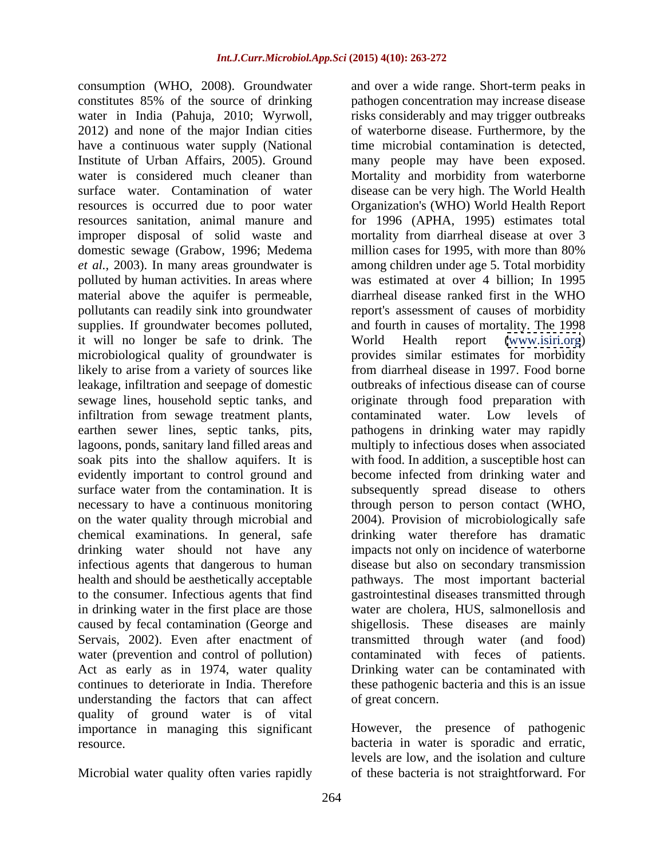constitutes 85% of the source of drinking have a continuous water supply (National resources is occurred due to poor water resources sanitation, animal manure and improper disposal of solid waste and domestic sewage (Grabow, 1996; Medema million cases for 1995, with more than 80% polluted by human activities. In areas where it will no longer be safe to drink. The microbiological quality of groundwater is likely to arise from a variety of sources like leakage, infiltration and seepage of domestic infiltration from sewage treatment plants, contaminated water. Low levels of lagoons, ponds, sanitary land filled areas and chemical examinations. In general, safe drinking water should not have any caused by fecal contamination (George and water (prevention and control of pollution) understanding the factors that can affect quality of ground water is of vital importance in managing this significant

Microbial water quality often varies rapidly of these bacteria is not straightforward. For

consumption (WHO, 2008). Groundwater and over a wide range. Short-term peaks in water in India (Pahuja, 2010; Wyrwoll, risks considerably and may trigger outbreaks<br>2012) and none of the major Indian cities of waterborne disease. Furthermore, by the Institute of Urban Affairs, 2005). Ground many people may have been exposed. water is considered much cleaner than Mortality and morbidity from waterborne surface water. Contamination of water disease can be very high. The World Health *et al.,* 2003). In many areas groundwater is among children under age 5. Total morbidity material above the aquifer is permeable, diarrheal disease ranked first in the WHO pollutants can readily sink into groundwater report's assessment of causes of morbidity supplies. If groundwater becomes polluted, and fourth in causes of mortality. The 1998 sewage lines, household septic tanks, and originate through food preparation with earthen sewer lines, septic tanks, pits, pathogens in drinking water may rapidly soak pits into the shallow aquifers. It is with food. In addition, a susceptible host can evidently important to control ground and become infected from drinking water and surface water from the contamination. It is subsequently spread disease to others necessary to have a continuous monitoring through person to person contact (WHO, on the water quality through microbial and 2004). Provision of microbiologically safe infectious agents that dangerous to human disease but also on secondary transmission health and should be aesthetically acceptable pathways. The most important bacterial to the consumer. Infectious agents that find gastrointestinal diseases transmitted through in drinking water in the first place are those water are cholera, HUS, salmonellosis and Servais, 2002). Even after enactment of transmitted through water (and food) Act as early as in 1974, water quality Drinking water can be contaminated with continues to deteriorate in India. Therefore these pathogenic bacteria and this is an issue pathogen concentration may increase disease risks considerably and may trigger outbreaks of waterborne disease. Furthermore, by the time microbial contamination is detected, Organization's (WHO) World Health Report for 1996 (APHA, 1995) estimates total mortality from diarrheal disease at over 3 million cases for 1995, with more than 80% was estimated at over 4 billion; In 1995 World Health report [\(www.isiri.org](http://www.isiri.org)) provides similar estimates for morbidity from diarrheal disease in 1997. Food borne outbreaks of infectious disease can of course contaminated water. Low levels of multiply to infectious doses when associated drinking water therefore has dramatic impacts not only on incidence of waterborne shigellosis. These diseases are mainly contaminated with feces of patients. of great concern.

resource. bacteria in water is sporadic and erratic, However, the presence of pathogenic levels are low, and the isolation and culture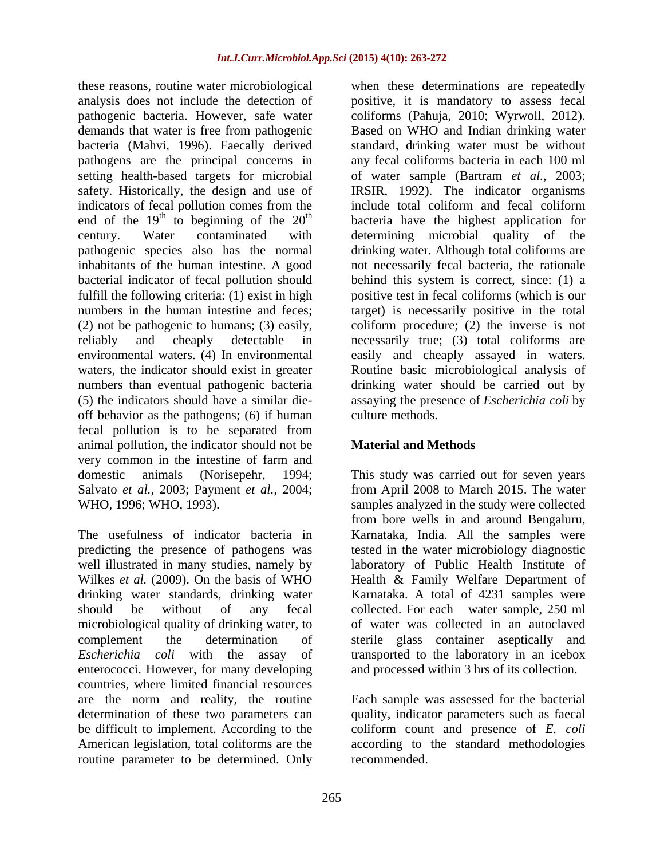these reasons, routine water microbiological when these determinations are repeatedly analysis does not include the detection of positive, it is mandatory to assess fecal pathogenic bacteria. However, safe water coliforms (Pahuja, 2010; Wyrwoll, 2012). demands that water is free from pathogenic Based on WHO and Indian drinking water bacteria (Mahvi, 1996). Faecally derived standard, drinking water must be without pathogens are the principal concerns in setting health-based targets for microbial of water sample (Bartram *et al.,* 2003; safety. Historically, the design and use of IRSIR, 1992). The indicator organisms indicators of fecal pollution comes from the include total coliform and fecal coliform<br>end of the  $19<sup>th</sup>$  to beginning of the  $20<sup>th</sup>$  bacteria have the highest application for end of the  $19<sup>th</sup>$  to beginning of the  $20<sup>th</sup>$  bacteria have the highest application for century. Water contaminated with determining microbial quality of the pathogenic species also has the normal drinking water. Although total coliforms are inhabitants of the human intestine. A good not necessarily fecal bacteria, the rationale bacterial indicator of fecal pollution should behind this system is correct, since: (1) a fulfill the following criteria: (1) exist in high positive test in fecal coliforms (which is our numbers in the human intestine and feces; target) is necessarily positive in the total (2) not be pathogenic to humans; (3) easily, coliform procedure; (2) the inverse is not reliably and cheaply detectable in necessarily true; (3) total coliforms are environmental waters. (4) In environmental easily and cheaply assayed in waters. waters, the indicator should exist in greater Routine basic microbiological analysis of numbers than eventual pathogenic bacteria drinking water should be carried out by (5) the indicators should have a similar die- assaying the presence of *Escherichia coli* by off behavior as the pathogens; (6) if human fecal pollution is to be separated from animal pollution, the indicator should not be **Material and Methods** very common in the intestine of farm and domestic animals (Norisepehr, 1994; This study was carried out for seven years Salvato *et al.,* 2003; Payment *et al.,* 2004; from April 2008 to March 2015. The water

microbiological quality of drinking water, to enterococci. However, for many developing and processed within 3 hrs of its collection. countries, where limited financial resources are the norm and reality, the routine Each sample was assessed for the bacterial determination of these two parameters can quality, indicator parameters such as faecal be difficult to implement. According to the coliform count and presence of *E. coli* American legislation, total coliforms are the according to the standard methodologies routine parameter to be determined. Only

coliforms (Pahuja, 2010; Wyrwoll, 2012). Based on WHO and Indian drinking water any fecal coliforms bacteria in each 100 ml include total coliform and fecal coliform culture methods.

## **Material and Methods**

WHO, 1996; WHO, 1993).<br>
Samples analyzed in the study were collected<br>
from bore wells in and around Bengaluru,<br>
The usefulness of indicator bacteria in Karnataka, India. All the samples were predicting the presence of pathogens was tested in the water microbiology diagnostic well illustrated in many studies, namely by laboratory of Public Health Institute of Wilkes *et al.* (2009). On the basis of WHO Health & Family Welfare Department of drinking water standards, drinking water Karnataka. A total of 4231 samples were should be without of any fecal collected. For each water sample, 250 ml complement the determination of sterile glass container aseptically and *Escherichia coli* with the assay of transported to the laboratory in an icebox samples analyzed in the study were collected from bore wells in and around Bengaluru, Karnataka, India. All the samples were of water was collected in an autoclaved

recommended.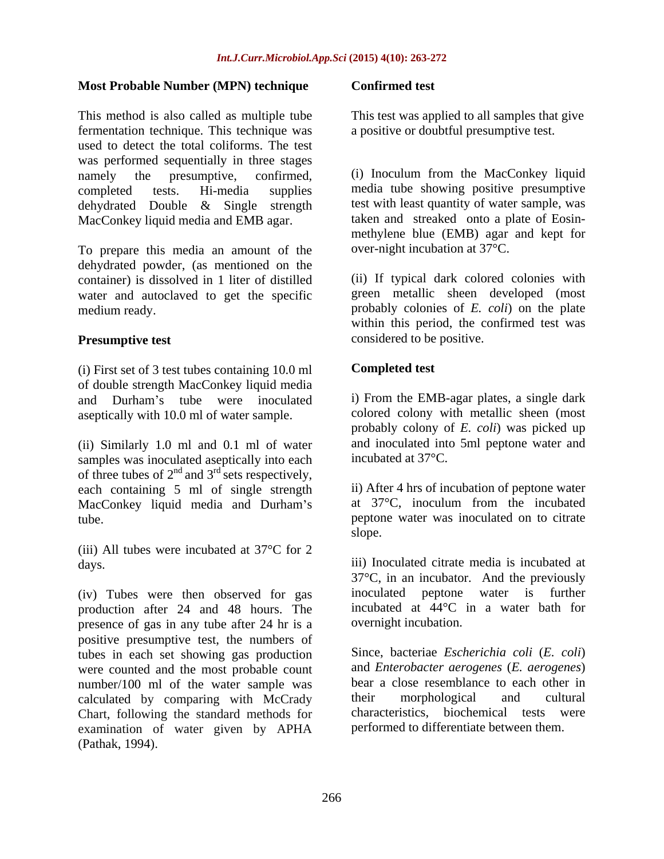### **Most Probable Number (MPN) technique**

This method is also called as multiple tube fermentation technique. This technique was used to detect the total coliforms. The test was performed sequentially in three stages namely the presumptive, confirmed, (i) Inoculum from the MacConkey liquid completed tests. Hi-media supplies media tube showing positive presumptive dehydrated Double & Single strength MacConkey liquid media and EMB agar.

To prepare this media an amount of the dehydrated powder, (as mentioned on the container) is dissolved in 1 liter of distilled water and autoclaved to get the specific

(i) First set of 3 test tubes containing 10.0 ml of double strength MacConkey liquid media and Durham's tube were inoculated aseptically with 10.0 ml of water sample.

(ii) Similarly 1.0 ml and 0.1 ml of water samples was inoculated aseptically into each of three tubes of  $2<sup>nd</sup>$  and  $3<sup>rd</sup>$  sets respectively, each containing 5 ml of single strength MacConkey liquid media and Durham's

(iii) All tubes were incubated at 37°C for 2

(iv) Tubes were then observed for gas production after 24 and 48 hours. The presence of gas in any tube after 24 hr is a positive presumptive test, the numbers of tubes in each set showing gas production were counted and the most probable count number/100 ml of the water sample was bear a close resemblance to each other in calculated by comparing with McCrady their morphological and cultural calculated by comparing with McCrady<br>
Chart following the standard methods for characteristics, biochemical tests were Chart, following the standard methods for examination of water given by APHA **Most Probable Number (MPN) technique Confirmed test**<br>This method is a multiple show can provide to the most was applied to all samples that give<br>Formortation colonique. This receiving was a protive or doubl'all presump

This test was applied to all samples that give a positive or doubtful presumptive test.

test with least quantity of water sample, was taken and streaked onto a plate of Eosin methylene blue (EMB) agar and kept for over-night incubation at 37°C.

medium ready. probably colonies of *E. coli*) on the plate **Presumptive test** considered to be positive. (ii) If typical dark colored colonies with green metallic sheen developed (most within this period, the confirmed test was

### **Completed test**

i) From the EMB-agar plates, a single dark colored colony with metallic sheen (most probably colony of *E. coli*) was picked up and inoculated into 5ml peptone water and incubated at 37°C.

tube. peptone water was inoculated on to citrate ii) After 4 hrs of incubation of peptone water at 37°C, inoculum from the incubated slope.

days. iii) Inoculated citrate media is incubated at 37°C, in an incubator. And the previously inoculated peptone water is further incubated at 44°C in a water bath for overnight incubation.

> Since, bacteriae *Escherichia coli* (*E. coli*) and *Enterobacter aerogenes* (*E. aerogenes*) bear a close resemblance to each other in their morphological and cultural characteristics, biochemical tests were performed to differentiate between them.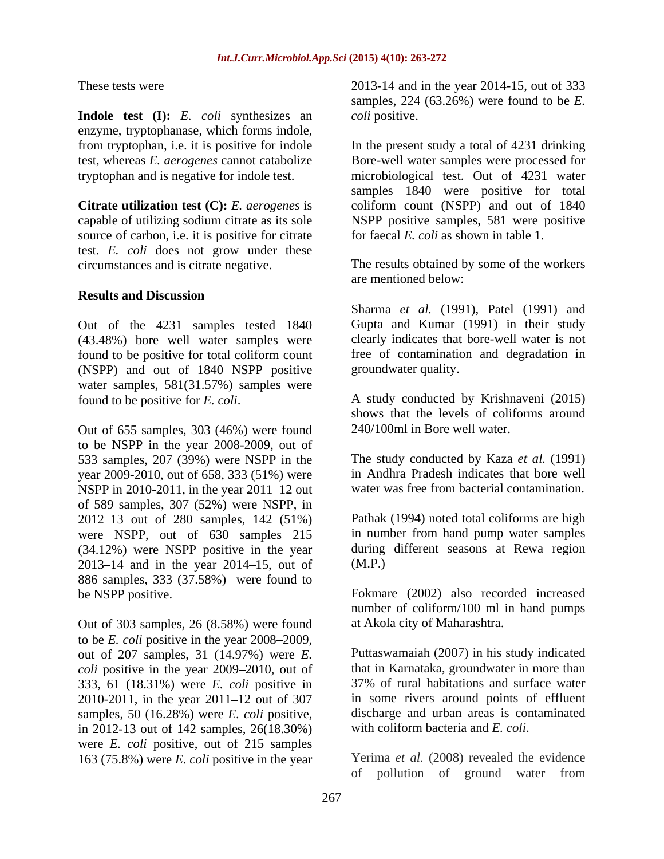**Indole test (I):** *E. coli* synthesizes an enzyme, tryptophanase, which forms indole,

source of carbon, i.e. it is positive for citrate test. *E. coli* does not grow under these

### **Results and Discussion**

Out of the 4231 samples tested 1840 (43.48%) bore well water samples were found to be positive for total coliform count (NSPP) and out of 1840 NSPP positive water samples, 581(31.57%) samples were found to be positive for *E. coli*. A study conducted by Krishnaveni (2015)

Out of 655 samples, 303 (46%) were found to be NSPP in the year 2008-2009, out of 533 samples, 207 (39%) were NSPP in the year 2009-2010, out of 658, 333 (51%) were NSPP in  $2010-2011$ , in the year  $2011-12$  out of 589 samples, 307 (52%) were NSPP, in 2012 13 out of 280 samples, 142 (51%) were NSPP, out of 630 samples 215 (34.12%) were NSPP positive in the year 2013–14 and in the year  $2014-15$ , out of  $(M.P.)$ 886 samples, 333 (37.58%) were found to

Out of 303 samples, 26 (8.58%) were found to be *E. coli* positive in the year 2008–2009, out of 207 samples, 31 (14.97%) were *E. coli* positive in the year 2009–2010, out of that in Karnataka, groundwater in more than 333, 61 (18.31%) were *E coli* positive in 37% of rural habitations and surface water 333, 61 (18.31%) were *E. coli* positive in 2010-2011, in the year  $2011 - 12$  out of 307 samples, 50 (16.28%) were *E. coli* positive, in 2012-13 out of 142 samples, 26(18.30%) were *E. coli* positive, out of 215 samples 163 (75.8%) were *E. coli* positive in the year

These tests were 2013-14 and in the year 2014-15, out of 333 samples, 224 (63.26%) were found to be *E. coli* positive.

from tryptophan, i.e. it is positive for indole In the present study a total of 4231 drinking test, whereas *E. aerogenes* cannot catabolize Bore-well water samples were processed for tryptophan and is negative for indole test. microbiological test. Out of 4231 water **Citrate utilization test (C):** *E. aerogenes* is coliform count (NSPP) and out of 1840 capable of utilizing sodium citrate as its sole NSPP positive samples, 581were positive samples 1840 were positive for total for faecal *E. coli* as shown in table 1.

circumstances and is citrate negative. The results obtained by some of the workers are mentioned below:

> Sharma *et al.* (1991), Patel (1991) and Gupta and Kumar (1991) in their study clearly indicates that bore-well water is not free of contamination and degradation in groundwater quality.

> shows that the levels of coliforms around 240/100ml in Bore well water.

> The study conducted by Kaza *et al.* (1991) in Andhra Pradesh indicates that bore well water was free from bacterial contamination.

Pathak (1994) noted total coliforms are high in number from hand pump water samples during different seasons at Rewa region (M.P.)

be NSPP positive. Fokmare (2002) also recorded increased number of coliform/100 ml in hand pumps at Akola city of Maharashtra.

> Puttaswamaiah (2007) in his study indicated that in Karnataka, groundwater in more than 37% of rural habitations and surface water in some rivers around points of effluent discharge and urban areas is contaminated with coliform bacteria and *E. coli*.

Yerima *et al.* (2008) revealed the evidence of pollution of ground water from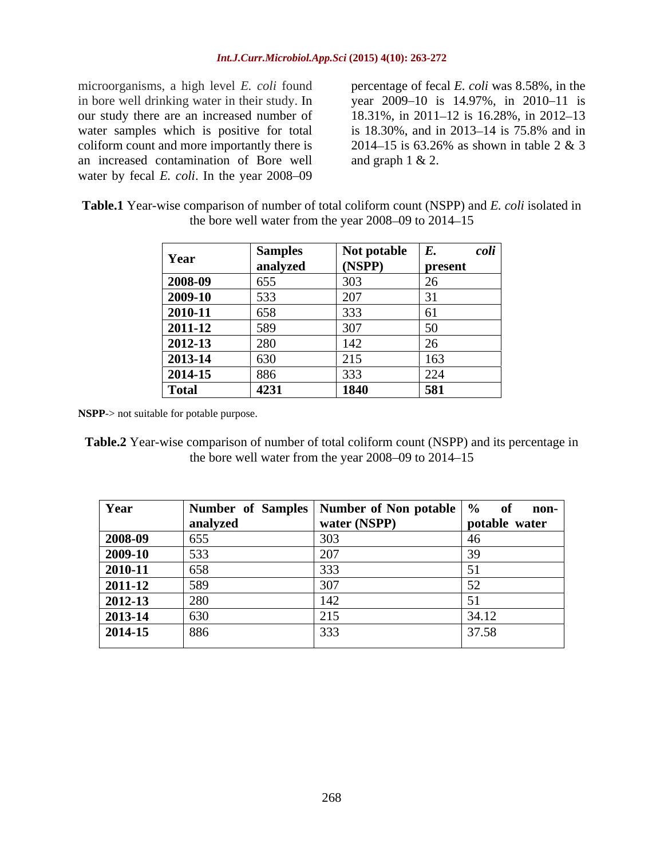microorganisms, a high level *E. coli* found percentage of fecal *E. coli* was 8.58%, in the in bore well drinking water in their study. In year 2009–10 is 14.97%, in 2010–11 is our study there are an increased number of 18.31%, in 2011–12 is 16.28%, in 2012–13 water samples which is positive for total is 18.30%, and in 2013–14 is 75.8% and in coliform count and more importantly there is  $2014-15$  is 63.26% as shown in table 2 & 3 coliform count and more importantly there is an increased contamination of Bore well water by fecal *E. coli*. In the year 2008–09

is 18.30%, and in 2013–14 is 75.8% and in 2014–15 is 63.26% as shown in table 2 & 3 and graph  $1 < 2$ .

| <b>Table.1</b> Year-wise comparison of number of total coliform count (NSPP) and E. coli isolated in |  |
|------------------------------------------------------------------------------------------------------|--|
| the bore well water from the year $2008-09$ to $2014-15$                                             |  |

|              | <b>Samples</b> | Not potable | <i>coli</i><br>Ľ.  |
|--------------|----------------|-------------|--------------------|
| Year         | analyzed       | (NSPP)      | present            |
| 2008-09      | 655            | 303         | ∠∪                 |
| 2009-10      | 533            | 207         |                    |
| 2010-11      | 658            | 333         | U J                |
| 2011-12      | 589            | 307         | 50<br>JU           |
| 2012-13      | 280            | 142         | ∠∪                 |
| 2013-14      | 630            | 215<br>ں رے | 163                |
| 2014-15      | 886            | 222<br>333  | $\mathbf{a}$<br>44 |
| <b>Total</b> | 4231           | 1840        | 581                |

**NSPP**-> not suitable for potable purpose.

**Table.2** Year-wise comparison of number of total coliform count (NSPP) and its percentage in the bore well water from the year  $2008 - 09$  to  $2014 - 15$ 

| Year        |          | Number of Samples Number of Non potable $\sqrt{\frac{9}{6}}$ of non- |               |
|-------------|----------|----------------------------------------------------------------------|---------------|
|             | analyzeo | vater (NSPP)                                                         | potable water |
| 2008-09     |          |                                                                      |               |
| 2009-10     |          |                                                                      |               |
| 2010-11     |          |                                                                      |               |
| 2011-12     |          |                                                                      |               |
| 2012-13     |          |                                                                      |               |
| 2013-14     |          |                                                                      |               |
| $2014 - 15$ | - 886    |                                                                      |               |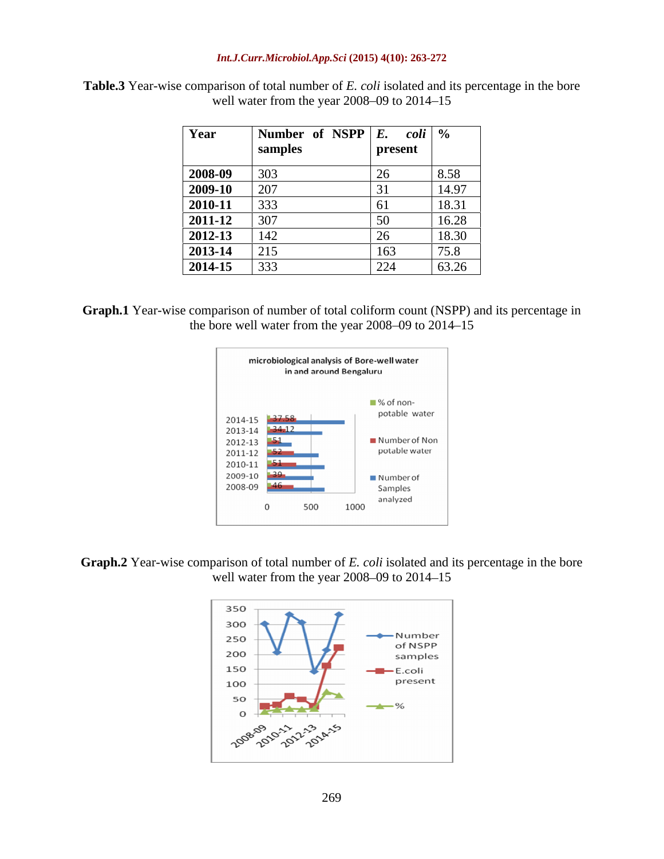### *Int.J.Curr.Microbiol.App.Sci* **(2015) 4(10): 263-272**

| Year                                                                                                                                                                  | Number of NSPP $E$ . coli $\%$ |         |         |
|-----------------------------------------------------------------------------------------------------------------------------------------------------------------------|--------------------------------|---------|---------|
|                                                                                                                                                                       |                                | present |         |
| $\begin{array}{ l } \hline 2008-09 \\ \hline 2009-10 \\ \hline 2010-11 \\ \hline 2011-12 \\ \hline 2012-13 \\ \hline 2013-14 \\ \hline 2014-15 \\ \hline \end{array}$ |                                |         |         |
|                                                                                                                                                                       | 207                            |         | 14.97   |
|                                                                                                                                                                       |                                |         |         |
|                                                                                                                                                                       | 307                            |         |         |
|                                                                                                                                                                       |                                |         | I X 30- |
|                                                                                                                                                                       | $\sqrt{15}$                    | $\sim$  |         |
|                                                                                                                                                                       |                                |         | 63.26   |

**Table.3** Year-wise comparison of total number of *E. coli* isolated and its percentage in the bore well water from the year  $2008 - 09$  to  $2014 - 15$ 

**Graph.1** Year-wise comparison of number of total coliform count (NSPP) and its percentage in the bore well water from the year  $2008 - 09$  to  $2014 - 15$ 



**Graph.2** Year-wise comparison of total number of *E. coli* isolated and its percentage in the bore well water from the year  $2008 - 09$  to  $2014 - 15$ 

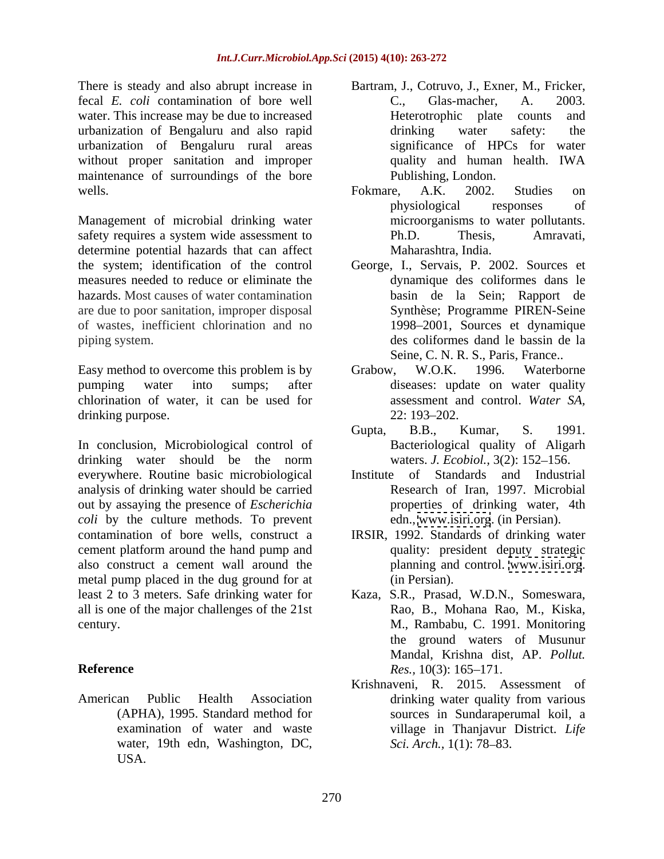There is steady and also abrupt increase in fecal *E. coli* contamination of bore well water. This increase may be due to increased **Exercity** Heterotrophic plate counts and urbanization of Bengaluru and also rapid urbanization of Bengaluru rural areas without proper sanitation and improper outlined quality and human health. IWA maintenance of surroundings of the bore

Management of microbial drinking water safety requires a system wide assessment to Ph.D. Thesis, Amravati, determine potential hazards that can affect the system; identification of the control George, I., Servais, P. 2002. Sources et measures needed to reduce or eliminate the hazards. Most causes of water contamination are due to poor sanitation, improper disposal of wastes, inefficient chlorination and no piping system. des coliformes dand le bassin de la

Easy method to overcome this problem is by Grabow, W.O.K. 1996. Waterborne pumping water into sumps; after diseases: update on water quality chlorination of water, it can be used for drinking purpose. 22: 193–202.

In conclusion, Microbiological control of Bacteriological quality of Aligarh drinking water should be the norm waters. J. Ecobiol., 3(2): 152–156. everywhere. Routine basic microbiological analysis of drinking water should be carried out by assaying the presence of *Escherichia coli* by the culture methods. To prevent contamination of bore wells, construct a cement platform around the hand pump and also construct a cement wall around the metal pump placed in the dug ground for at (in Persian). least 2 to 3 meters. Safe drinking water for Kaza, S.R., Prasad, W.D.N., Someswara, all is one of the major challenges of the 21st

American Public Health Association water, 19th edn, Washington, DC, Sci. Arch., 1(1): 78-83. USA.

- Bartram, J., Cotruvo, J., Exner, M., Fricker, C., Glas-macher, A. 2003. Heterotrophic plate counts and drinking water safety: the significance of HPCs for water quality and human health. IWA Publishing, London.
- wells. The settlem are settlem as the settlem and settlem and settlem and settlem and settlem and settlem and settlem and settlem and settlem and settlem and settlem and settlem and settlem and settlem and settlem and sett Fokmare, A.K. 2002. Studies on physiological responses of microorganisms to water pollutants. Ph.D. Thesis, Amravati, Maharashtra, India.
	- dynamique des coliformes dans le basin de la Sein; Rapport de Synthèse; Programme PIREN-Seine 1998 2001, Sources et dynamique Seine, C. N. R. S., Paris, France..
	- Grabow, W.O.K. 1996. Waterborne assessment and control. *Water SA,* 22: 193–202.
	- Gupta, B.B., Kumar, S. 1991. Bacteriological quality of Aligarh waters. *J. Ecobiol.*, 3(2): 152-156.
	- of Standards and Industrial Research of Iran, 1997. Microbial properties of drinking water, 4th edn., [www.isiri.org](http://www.isiri.org). (in Persian).
	- IRSIR, 1992. Standards of drinking water quality: president deputy strategic planning and control. [www.isiri.org](http://www.isiri.org). (in Persian).
- century. M., Rambabu, C. 1991. Monitoring **Reference** Res., 10(3): 165–171. Rao, B., Mohana Rao, M., Kiska, the ground waters of Musunur Mandal, Krishna dist, AP. *Pollut. Res.,* 10(3): 165–171.
	- (APHA), 1995. Standard method for sources in Sundaraperumal koil, a examination of water and waste **in Village** in Thanjavur District. Life Krishnaveni, R. 2015. Assessment of drinking water quality from various *Sci. Arch.,* 1(1): 78–83.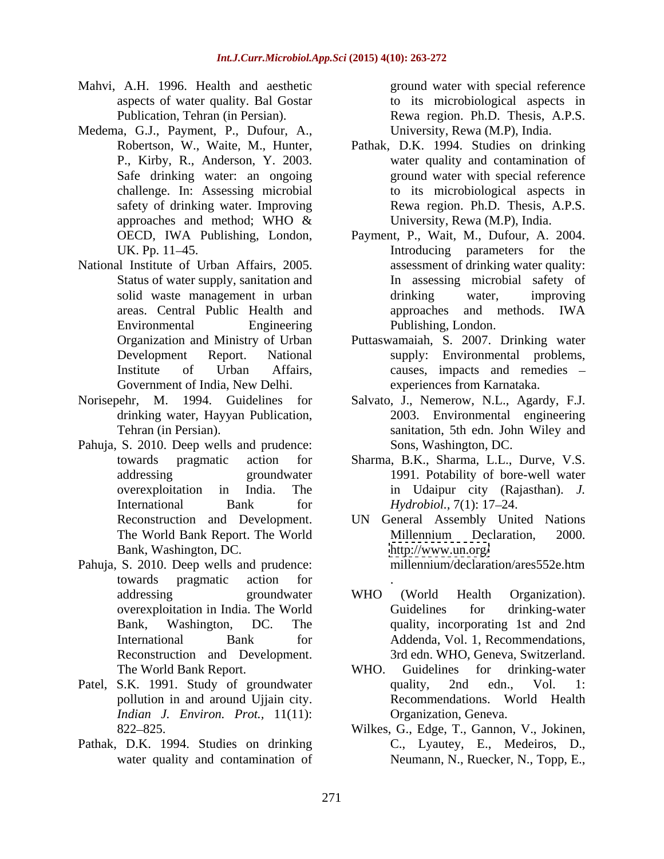- Mahvi, A.H. 1996. Health and aesthetic aspects of water quality. Bal Gostar
- Medema, G.J., Payment, P., Dufour, A.,
- National Institute of Urban Affairs, 2005. Government of India, New Delhi.
- drinking water, Hayyan Publication,
- Pahuja, S. 2010. Deep wells and prudence: Bank, Washington, DC.
- towards pragmatic action for
- pollution in and around Ujjain city. *Indian J. Environ. Prot.,* 11(11):
- Pathak, D.K. 1994. Studies on drinking

Publication, Tehran (in Persian). Rewa region. Ph.D. Thesis, A.P.S. ground water with special reference to its microbiological aspects in University, Rewa (M.P), India.

- Robertson, W., Waite, M., Hunter, Pathak, D.K. 1994. Studies on drinking P., Kirby, R., Anderson, Y. 2003. water quality and contamination of Safe drinking water: an ongoing exercise and ground water with special reference challenge. In: Assessing microbial to its microbiological aspects in safety of drinking water. Improving Rewa region. Ph.D. Thesis, A.P.S. approaches and method; WHO  $\&$  University, Rewa (M.P), India. University, Rewa (M.P), India.
- OECD, IWA Publishing, London, Payment, P., Wait, M., Dufour, A. 2004. UK. Pp. 11–45. The same of the state of the state of the state of the state of the state of the state of the state of the state of the state of the state of the state of the state of the state of the state of the state of Status of water supply, sanitation and In assessing microbial safety of solid waste management in urban b drinking water, improving areas. Central Public Health and Environmental Engineering Publishing, London. assessment of drinking water quality: drinking water, improving approaches and methods. IWA Publishing, London.
- Organization and Ministry of Urban Puttaswamaiah, S. 2007. Drinking water Development Report. National supply: Environmental problems, Institute of Urban Affairs, causes, impacts and remedies – experiences from Karnataka.
- Norisepehr, M. 1994. Guidelines for Salvato, J., Nemerow, N.L., Agardy, F.J. Tehran (in Persian). sanitation, 5th edn. John Wiley and 2003. Environmental engineering Sons, Washington, DC.
	- towards pragmatic action for Sharma, B.K., Sharma, L.L., Durve, V.S. addressing groundwater 1991. Potability of bore-well water overexploitation in India. The in Udaipur city (Rajasthan). *J.*  International Bank for *Hydrobiol.*, 7(1): 17–24. *Hydrobiol.,* 7(1): 17–24.
- Reconstruction and Development. UN General Assembly United Nations The World Bank Report. The World Pahuja, S. 2010. Deep wells and prudence: millennium/declaration/ares552e.htm Millennium Declaration, 2000. <http://www.un.org/> millennium/declaration/ares552e.htm
	- addressing eroundwater WHO (World Health Organization). overexploitation in India. The World Bank, Washington, DC. The quality, incorporating 1st and 2nd International Bank for Addenda, Vol. 1, Recommendations, International Bank for Addenda, Vol. 1, Recommendations,<br>Reconstruction and Development. 3rd edn. WHO, Geneva, Switzerland. . A construction of the construction of the construction of the construction of the construction of the construction of the construction of the construction of the construction of the construction of the construction of th WHO (World Health Organization). Guidelines for drinking-water
- The World Bank Report. WHO. Guidelines for drinking-water Patel, S.K. 1991. Study of groundwater quality, 2nd edn., Vol. 1: WHO. Guidelines for drinking-water quality, 2nd edn., Vol. 1: Recommendations. World Health Organization, Geneva.
	- 822 825. Wilkes, G., Edge, T., Gannon, V., Jokinen, water quality and contamination of Neumann, N., Ruecker, N., Topp, E.,C., Lyautey, E., Medeiros, D.,